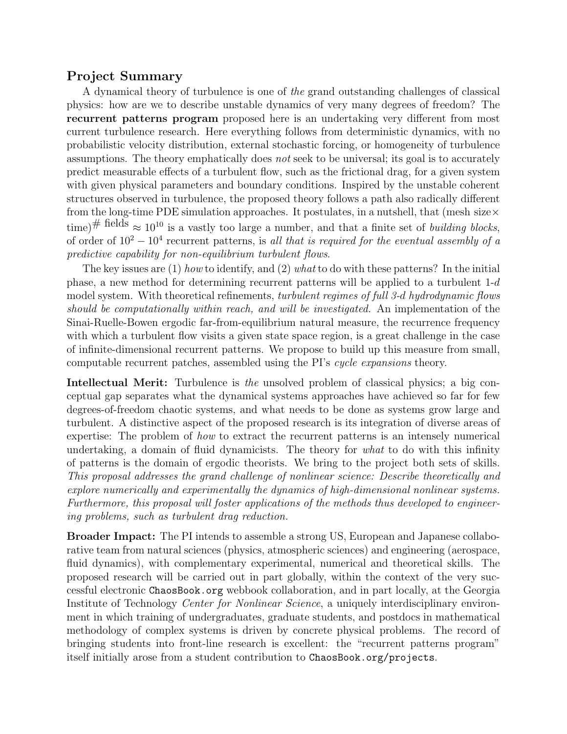# Project Summary

A dynamical theory of turbulence is one of the grand outstanding challenges of classical physics: how are we to describe unstable dynamics of very many degrees of freedom? The recurrent patterns program proposed here is an undertaking very different from most current turbulence research. Here everything follows from deterministic dynamics, with no probabilistic velocity distribution, external stochastic forcing, or homogeneity of turbulence assumptions. The theory emphatically does not seek to be universal; its goal is to accurately predict measurable effects of a turbulent flow, such as the frictional drag, for a given system with given physical parameters and boundary conditions. Inspired by the unstable coherent structures observed in turbulence, the proposed theory follows a path also radically different from the long-time PDE simulation approaches. It postulates, in a nutshell, that (mesh size  $\times$ time)# fields  $\approx 10^{10}$  is a vastly too large a number, and that a finite set of *building blocks*, of order of  $10^2 - 10^4$  recurrent patterns, is all that is required for the eventual assembly of a predictive capability for non-equilibrium turbulent flows.

The key issues are  $(1)$  how to identify, and  $(2)$  what to do with these patterns? In the initial phase, a new method for determining recurrent patterns will be applied to a turbulent 1-d model system. With theoretical refinements, turbulent regimes of full 3-d hydrodynamic flows should be computationally within reach, and will be investigated. An implementation of the Sinai-Ruelle-Bowen ergodic far-from-equilibrium natural measure, the recurrence frequency with which a turbulent flow visits a given state space region, is a great challenge in the case of infinite-dimensional recurrent patterns. We propose to build up this measure from small, computable recurrent patches, assembled using the PI's cycle expansions theory.

**Intellectual Merit:** Turbulence is the unsolved problem of classical physics; a big conceptual gap separates what the dynamical systems approaches have achieved so far for few degrees-of-freedom chaotic systems, and what needs to be done as systems grow large and turbulent. A distinctive aspect of the proposed research is its integration of diverse areas of expertise: The problem of how to extract the recurrent patterns is an intensely numerical undertaking, a domain of fluid dynamicists. The theory for what to do with this infinity of patterns is the domain of ergodic theorists. We bring to the project both sets of skills. This proposal addresses the grand challenge of nonlinear science: Describe theoretically and explore numerically and experimentally the dynamics of high-dimensional nonlinear systems. Furthermore, this proposal will foster applications of the methods thus developed to engineering problems, such as turbulent drag reduction.

Broader Impact: The PI intends to assemble a strong US, European and Japanese collaborative team from natural sciences (physics, atmospheric sciences) and engineering (aerospace, fluid dynamics), with complementary experimental, numerical and theoretical skills. The proposed research will be carried out in part globally, within the context of the very successful electronic ChaosBook.org webbook collaboration, and in part locally, at the Georgia Institute of Technology Center for Nonlinear Science, a uniquely interdisciplinary environment in which training of undergraduates, graduate students, and postdocs in mathematical methodology of complex systems is driven by concrete physical problems. The record of bringing students into front-line research is excellent: the "recurrent patterns program" itself initially arose from a student contribution to ChaosBook.org/projects.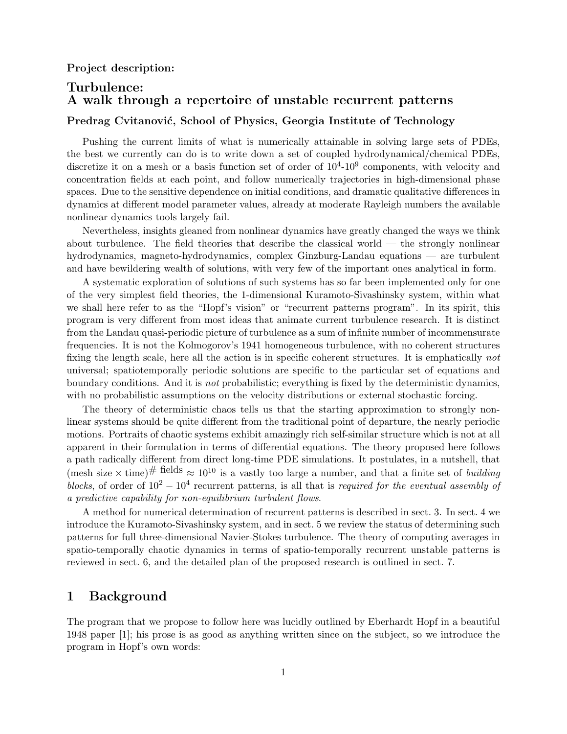# Turbulence: A walk through a repertoire of unstable recurrent patterns

# Predrag Cvitanović, School of Physics, Georgia Institute of Technology

Pushing the current limits of what is numerically attainable in solving large sets of PDEs, the best we currently can do is to write down a set of coupled hydrodynamical/chemical PDEs, discretize it on a mesh or a basis function set of order of  $10^4$ - $10^9$  components, with velocity and concentration fields at each point, and follow numerically trajectories in high-dimensional phase spaces. Due to the sensitive dependence on initial conditions, and dramatic qualitative differences in dynamics at different model parameter values, already at moderate Rayleigh numbers the available nonlinear dynamics tools largely fail.

Nevertheless, insights gleaned from nonlinear dynamics have greatly changed the ways we think about turbulence. The field theories that describe the classical world  $-$  the strongly nonlinear hydrodynamics, magneto-hydrodynamics, complex Ginzburg-Landau equations — are turbulent and have bewildering wealth of solutions, with very few of the important ones analytical in form.

A systematic exploration of solutions of such systems has so far been implemented only for one of the very simplest field theories, the 1-dimensional Kuramoto-Sivashinsky system, within what we shall here refer to as the "Hopf's vision" or "recurrent patterns program". In its spirit, this program is very different from most ideas that animate current turbulence research. It is distinct from the Landau quasi-periodic picture of turbulence as a sum of infinite number of incommensurate frequencies. It is not the Kolmogorov's 1941 homogeneous turbulence, with no coherent structures fixing the length scale, here all the action is in specific coherent structures. It is emphatically not universal; spatiotemporally periodic solutions are specific to the particular set of equations and boundary conditions. And it is not probabilistic; everything is fixed by the deterministic dynamics, with no probabilistic assumptions on the velocity distributions or external stochastic forcing.

The theory of deterministic chaos tells us that the starting approximation to strongly nonlinear systems should be quite different from the traditional point of departure, the nearly periodic motions. Portraits of chaotic systems exhibit amazingly rich self-similar structure which is not at all apparent in their formulation in terms of differential equations. The theory proposed here follows a path radically different from direct long-time PDE simulations. It postulates, in a nutshell, that (mesh size  $\times$  time)<sup># fields</sup>  $\approx 10^{10}$  is a vastly too large a number, and that a finite set of *building* blocks, of order of  $10^2 - 10^4$  recurrent patterns, is all that is required for the eventual assembly of a predictive capability for non-equilibrium turbulent flows.

A method for numerical determination of recurrent patterns is described in sect. 3. In sect. 4 we introduce the Kuramoto-Sivashinsky system, and in sect. 5 we review the status of determining such patterns for full three-dimensional Navier-Stokes turbulence. The theory of computing averages in spatio-temporally chaotic dynamics in terms of spatio-temporally recurrent unstable patterns is reviewed in sect. 6, and the detailed plan of the proposed research is outlined in sect. 7.

## 1 Background

The program that we propose to follow here was lucidly outlined by Eberhardt Hopf in a beautiful 1948 paper [1]; his prose is as good as anything written since on the subject, so we introduce the program in Hopf's own words: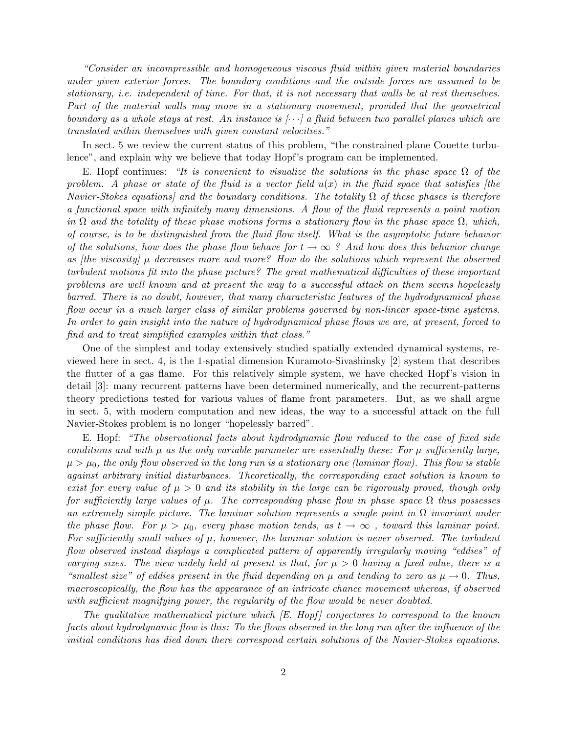"Consider an incompressible and homogeneous viscous fluid within given material boundaries under given exterior forces. The boundary conditions and the outside forces are assumed to be stationary, i.e. independent of time. For that, it is not necessary that walls be at rest themselves. Part of the material walls may move in a stationary movement, provided that the geometrical boundary as a whole stays at rest. An instance is  $[\cdots]$  a fluid between two parallel planes which are translated within themselves with given constant velocities."

In sect. 5 we review the current status of this problem, "the constrained plane Couette turbulence", and explain why we believe that today Hopf's program can be implemented.

E. Hopf continues: "It is convenient to visualize the solutions in the phase space  $\Omega$  of the problem. A phase or state of the fluid is a vector field  $u(x)$  in the fluid space that satisfies [the Navier-Stokes equations] and the boundary conditions. The totality  $\Omega$  of these phases is therefore a functional space with infinitely many dimensions. A flow of the fluid represents a point motion in  $\Omega$  and the totality of these phase motions forms a stationary flow in the phase space  $\Omega$ , which, of course, is to be distinguished from the fluid flow itself. What is the asymptotic future behavior of the solutions, how does the phase flow behave for  $t \to \infty$  ? And how does this behavior change as [the viscosity]  $\mu$  decreases more and more? How do the solutions which represent the observed turbulent motions fit into the phase picture? The great mathematical difficulties of these important problems are well known and at present the way to a successful attack on them seems hopelessly barred. There is no doubt, however, that many characteristic features of the hydrodynamical phase flow occur in a much larger class of similar problems governed by non-linear space-time systems. In order to gain insight into the nature of hydrodynamical phase flows we are, at present, forced to find and to treat simplified examples within that class."

One of the simplest and today extensively studied spatially extended dynamical systems, reviewed here in sect. 4, is the 1-spatial dimension Kuramoto-Sivashinsky [2] system that describes the flutter of a gas flame. For this relatively simple system, we have checked Hopf's vision in detail [3]: many recurrent patterns have been determined numerically, and the recurrent-patterns theory predictions tested for various values of flame front parameters. But, as we shall argue in sect. 5, with modern computation and new ideas, the way to a successful attack on the full Navier-Stokes problem is no longer "hopelessly barred".

E. Hopf: "The observational facts about hydrodynamic flow reduced to the case of fixed side conditions and with  $\mu$  as the only variable parameter are essentially these: For  $\mu$  sufficiently large,  $\mu > \mu_0$ , the only flow observed in the long run is a stationary one (laminar flow). This flow is stable against arbitrary initial disturbances. Theoretically, the corresponding exact solution is known to exist for every value of  $\mu > 0$  and its stability in the large can be rigorously proved, though only for sufficiently large values of  $\mu$ . The corresponding phase flow in phase space  $\Omega$  thus possesses an extremely simple picture. The laminar solution represents a single point in  $\Omega$  invariant under the phase flow. For  $\mu > \mu_0$ , every phase motion tends, as  $t \to \infty$ , toward this laminar point. For sufficiently small values of  $\mu$ , however, the laminar solution is never observed. The turbulent flow observed instead displays a complicated pattern of apparently irregularly moving "eddies" of varying sizes. The view widely held at present is that, for  $\mu > 0$  having a fixed value, there is a "smallest size" of eddies present in the fluid depending on  $\mu$  and tending to zero as  $\mu \to 0$ . Thus, macroscopically, the flow has the appearance of an intricate chance movement whereas, if observed with sufficient magnifying power, the regularity of the flow would be never doubted.

The qualitative mathematical picture which  $\mathbb E$ . Hopf  $\mathbb E$  conjectures to correspond to the known facts about hydrodynamic flow is this: To the flows observed in the long run after the influence of the initial conditions has died down there correspond certain solutions of the Navier-Stokes equations.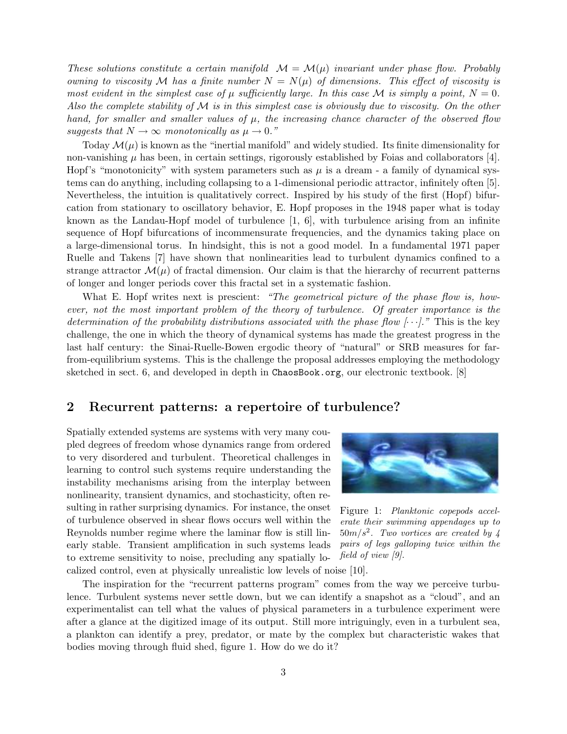These solutions constitute a certain manifold  $\mathcal{M} = \mathcal{M}(\mu)$  invariant under phase flow. Probably owning to viscosity M has a finite number  $N = N(\mu)$  of dimensions. This effect of viscosity is most evident in the simplest case of  $\mu$  sufficiently large. In this case M is simply a point,  $N = 0$ . Also the complete stability of  $\mathcal M$  is in this simplest case is obviously due to viscosity. On the other hand, for smaller and smaller values of  $\mu$ , the increasing chance character of the observed flow suggests that  $N \to \infty$  monotonically as  $\mu \to 0$ ."

Today  $\mathcal{M}(\mu)$  is known as the "inertial manifold" and widely studied. Its finite dimensionality for non-vanishing  $\mu$  has been, in certain settings, rigorously established by Foias and collaborators [4]. Hopf's "monotonicity" with system parameters such as  $\mu$  is a dream - a family of dynamical systems can do anything, including collapsing to a 1-dimensional periodic attractor, infinitely often [5]. Nevertheless, the intuition is qualitatively correct. Inspired by his study of the first (Hopf) bifurcation from stationary to oscillatory behavior, E. Hopf proposes in the 1948 paper what is today known as the Landau-Hopf model of turbulence  $[1, 6]$ , with turbulence arising from an infinite sequence of Hopf bifurcations of incommensurate frequencies, and the dynamics taking place on a large-dimensional torus. In hindsight, this is not a good model. In a fundamental 1971 paper Ruelle and Takens [7] have shown that nonlinearities lead to turbulent dynamics confined to a strange attractor  $\mathcal{M}(\mu)$  of fractal dimension. Our claim is that the hierarchy of recurrent patterns of longer and longer periods cover this fractal set in a systematic fashion.

What E. Hopf writes next is prescient: "The geometrical picture of the phase flow is, however, not the most important problem of the theory of turbulence. Of greater importance is the determination of the probability distributions associated with the phase flow  $[\cdots]$ ." This is the key challenge, the one in which the theory of dynamical systems has made the greatest progress in the last half century: the Sinai-Ruelle-Bowen ergodic theory of "natural" or SRB measures for farfrom-equilibrium systems. This is the challenge the proposal addresses employing the methodology sketched in sect. 6, and developed in depth in ChaosBook.org, our electronic textbook. [8]

## 2 Recurrent patterns: a repertoire of turbulence?

Spatially extended systems are systems with very many coupled degrees of freedom whose dynamics range from ordered to very disordered and turbulent. Theoretical challenges in learning to control such systems require understanding the instability mechanisms arising from the interplay between nonlinearity, transient dynamics, and stochasticity, often resulting in rather surprising dynamics. For instance, the onset of turbulence observed in shear flows occurs well within the Reynolds number regime where the laminar flow is still linearly stable. Transient amplification in such systems leads to extreme sensitivity to noise, precluding any spatially localized control, even at physically unrealistic low levels of noise [10].



Figure 1: Planktonic copepods accelerate their swimming appendages up to  $50m/s<sup>2</sup>$ . Two vortices are created by 4 pairs of legs galloping twice within the field of view [9].

The inspiration for the "recurrent patterns program" comes from the way we perceive turbulence. Turbulent systems never settle down, but we can identify a snapshot as a "cloud", and an experimentalist can tell what the values of physical parameters in a turbulence experiment were after a glance at the digitized image of its output. Still more intriguingly, even in a turbulent sea, a plankton can identify a prey, predator, or mate by the complex but characteristic wakes that bodies moving through fluid shed, figure 1. How do we do it?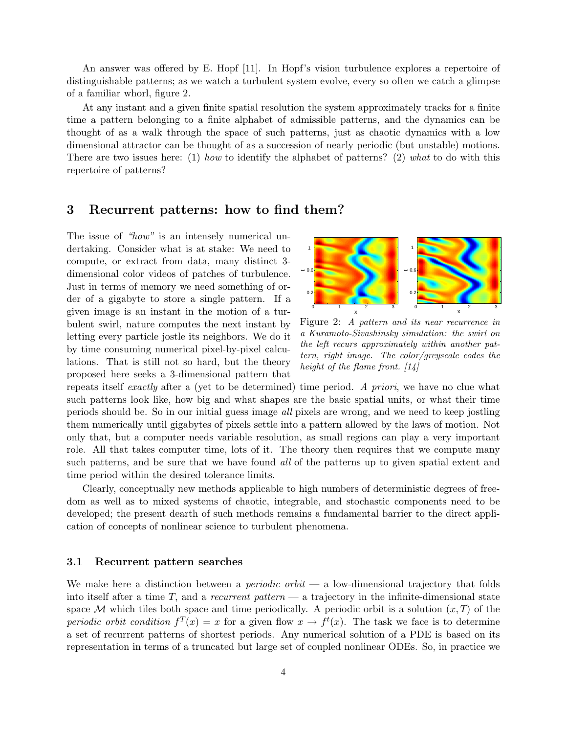An answer was offered by E. Hopf [11]. In Hopf's vision turbulence explores a repertoire of distinguishable patterns; as we watch a turbulent system evolve, every so often we catch a glimpse of a familiar whorl, figure 2.

At any instant and a given finite spatial resolution the system approximately tracks for a finite time a pattern belonging to a finite alphabet of admissible patterns, and the dynamics can be thought of as a walk through the space of such patterns, just as chaotic dynamics with a low dimensional attractor can be thought of as a succession of nearly periodic (but unstable) motions. There are two issues here: (1) how to identify the alphabet of patterns? (2) what to do with this repertoire of patterns?

#### 3 Recurrent patterns: how to find them?

The issue of "how" is an intensely numerical undertaking. Consider what is at stake: We need to compute, or extract from data, many distinct 3 dimensional color videos of patches of turbulence. Just in terms of memory we need something of order of a gigabyte to store a single pattern. If a given image is an instant in the motion of a turbulent swirl, nature computes the next instant by letting every particle jostle its neighbors. We do it by time consuming numerical pixel-by-pixel calculations. That is still not so hard, but the theory proposed here seeks a 3-dimensional pattern that



Figure 2: A pattern and its near recurrence in a Kuramoto-Sivashinsky simulation: the swirl on the left recurs approximately within another pattern, right image. The color/greyscale codes the height of the flame front.  $\lceil 14 \rceil$ 

repeats itself exactly after a (yet to be determined) time period. A priori, we have no clue what such patterns look like, how big and what shapes are the basic spatial units, or what their time periods should be. So in our initial guess image all pixels are wrong, and we need to keep jostling them numerically until gigabytes of pixels settle into a pattern allowed by the laws of motion. Not only that, but a computer needs variable resolution, as small regions can play a very important role. All that takes computer time, lots of it. The theory then requires that we compute many such patterns, and be sure that we have found all of the patterns up to given spatial extent and time period within the desired tolerance limits.

Clearly, conceptually new methods applicable to high numbers of deterministic degrees of freedom as well as to mixed systems of chaotic, integrable, and stochastic components need to be developed; the present dearth of such methods remains a fundamental barrier to the direct application of concepts of nonlinear science to turbulent phenomena.

#### 3.1 Recurrent pattern searches

We make here a distinction between a *periodic orbit* — a low-dimensional trajectory that folds into itself after a time  $T$ , and a *recurrent pattern* — a trajectory in the infinite-dimensional state space M which tiles both space and time periodically. A periodic orbit is a solution  $(x, T)$  of the periodic orbit condition  $f^{T}(x) = x$  for a given flow  $x \to f^{t}(x)$ . The task we face is to determine a set of recurrent patterns of shortest periods. Any numerical solution of a PDE is based on its representation in terms of a truncated but large set of coupled nonlinear ODEs. So, in practice we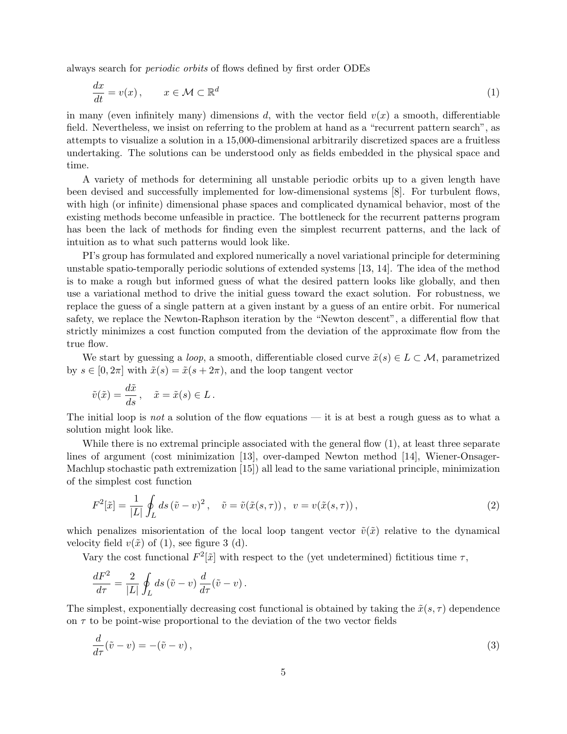always search for periodic orbits of flows defined by first order ODEs

$$
\frac{dx}{dt} = v(x), \qquad x \in \mathcal{M} \subset \mathbb{R}^d \tag{1}
$$

in many (even infinitely many) dimensions d, with the vector field  $v(x)$  a smooth, differentiable field. Nevertheless, we insist on referring to the problem at hand as a "recurrent pattern search", as attempts to visualize a solution in a 15,000-dimensional arbitrarily discretized spaces are a fruitless undertaking. The solutions can be understood only as fields embedded in the physical space and time.

A variety of methods for determining all unstable periodic orbits up to a given length have been devised and successfully implemented for low-dimensional systems [8]. For turbulent flows, with high (or infinite) dimensional phase spaces and complicated dynamical behavior, most of the existing methods become unfeasible in practice. The bottleneck for the recurrent patterns program has been the lack of methods for finding even the simplest recurrent patterns, and the lack of intuition as to what such patterns would look like.

PI's group has formulated and explored numerically a novel variational principle for determining unstable spatio-temporally periodic solutions of extended systems [13, 14]. The idea of the method is to make a rough but informed guess of what the desired pattern looks like globally, and then use a variational method to drive the initial guess toward the exact solution. For robustness, we replace the guess of a single pattern at a given instant by a guess of an entire orbit. For numerical safety, we replace the Newton-Raphson iteration by the "Newton descent", a differential flow that strictly minimizes a cost function computed from the deviation of the approximate flow from the true flow.

We start by guessing a *loop*, a smooth, differentiable closed curve  $\tilde{x}(s) \in L \subset \mathcal{M}$ , parametrized by  $s \in [0, 2\pi]$  with  $\tilde{x}(s) = \tilde{x}(s + 2\pi)$ , and the loop tangent vector

$$
\tilde{v}(\tilde{x}) = \frac{d\tilde{x}}{ds}, \quad \tilde{x} = \tilde{x}(s) \in L.
$$

The initial loop is not a solution of the flow equations — it is at best a rough guess as to what a solution might look like.

While there is no extremal principle associated with the general flow  $(1)$ , at least three separate lines of argument (cost minimization [13], over-damped Newton method [14], Wiener-Onsager-Machlup stochastic path extremization [15]) all lead to the same variational principle, minimization of the simplest cost function

$$
F^{2}[\tilde{x}] = \frac{1}{|L|} \oint_{L} ds \left(\tilde{v} - v\right)^{2}, \quad \tilde{v} = \tilde{v}(\tilde{x}(s, \tau)), \quad v = v(\tilde{x}(s, \tau)), \tag{2}
$$

which penalizes misorientation of the local loop tangent vector  $\tilde{v}(\tilde{x})$  relative to the dynamical velocity field  $v(\tilde{x})$  of (1), see figure 3 (d).

Vary the cost functional  $F^2[\tilde{x}]$  with respect to the (yet undetermined) fictitious time  $\tau$ ,

$$
\frac{dF^2}{d\tau} = \frac{2}{|L|} \oint_L ds \left(\tilde{v} - v\right) \frac{d}{d\tau} \left(\tilde{v} - v\right).
$$

The simplest, exponentially decreasing cost functional is obtained by taking the  $\tilde{x}(s, \tau)$  dependence on  $\tau$  to be point-wise proportional to the deviation of the two vector fields

$$
\frac{d}{d\tau}(\tilde{v} - v) = -(\tilde{v} - v),\tag{3}
$$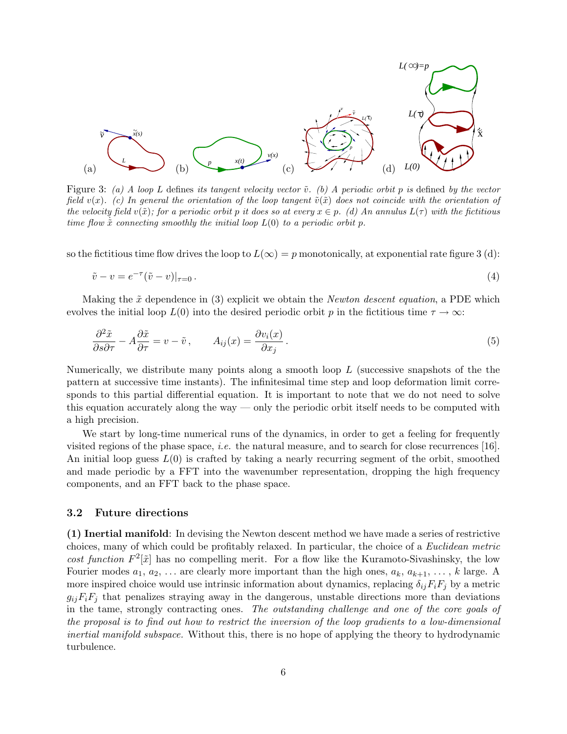

Figure 3: (a) A loop L defines its tangent velocity vector  $\tilde{v}$ . (b) A periodic orbit p is defined by the vector field  $v(x)$ . (c) In general the orientation of the loop tangent  $\tilde{v}(\tilde{x})$  does not coincide with the orientation of the velocity field  $v(\tilde{x})$ ; for a periodic orbit p it does so at every  $x \in p$ . (d) An annulus  $L(\tau)$  with the fictitious time flow  $\tilde{x}$  connecting smoothly the initial loop  $L(0)$  to a periodic orbit p.

so the fictitious time flow drives the loop to  $L(\infty) = p$  monotonically, at exponential rate figure 3 (d):

$$
\tilde{v} - v = e^{-\tau} (\tilde{v} - v)|_{\tau = 0} \,. \tag{4}
$$

Making the  $\tilde{x}$  dependence in (3) explicit we obtain the *Newton descent equation*, a PDE which evolves the initial loop  $L(0)$  into the desired periodic orbit p in the fictitious time  $\tau \to \infty$ :

$$
\frac{\partial^2 \tilde{x}}{\partial s \partial \tau} - A \frac{\partial \tilde{x}}{\partial \tau} = v - \tilde{v}, \qquad A_{ij}(x) = \frac{\partial v_i(x)}{\partial x_j}.
$$
\n(5)

Numerically, we distribute many points along a smooth loop  $L$  (successive snapshots of the the pattern at successive time instants). The infinitesimal time step and loop deformation limit corresponds to this partial differential equation. It is important to note that we do not need to solve this equation accurately along the way — only the periodic orbit itself needs to be computed with a high precision.

We start by long-time numerical runs of the dynamics, in order to get a feeling for frequently visited regions of the phase space, i.e. the natural measure, and to search for close recurrences [16]. An initial loop guess  $L(0)$  is crafted by taking a nearly recurring segment of the orbit, smoothed and made periodic by a FFT into the wavenumber representation, dropping the high frequency components, and an FFT back to the phase space.

#### 3.2 Future directions

(1) Inertial manifold: In devising the Newton descent method we have made a series of restrictive choices, many of which could be profitably relaxed. In particular, the choice of a Euclidean metric cost function  $F^2[\tilde{x}]$  has no compelling merit. For a flow like the Kuramoto-Sivashinsky, the low Fourier modes  $a_1, a_2, \ldots$  are clearly more important than the high ones,  $a_k, a_{k+1}, \ldots, k$  large. A more inspired choice would use intrinsic information about dynamics, replacing  $\delta_{ij}F_iF_j$  by a metric  $g_{ii}F_iF_j$  that penalizes straying away in the dangerous, unstable directions more than deviations in the tame, strongly contracting ones. The outstanding challenge and one of the core goals of the proposal is to find out how to restrict the inversion of the loop gradients to a low-dimensional inertial manifold subspace. Without this, there is no hope of applying the theory to hydrodynamic turbulence.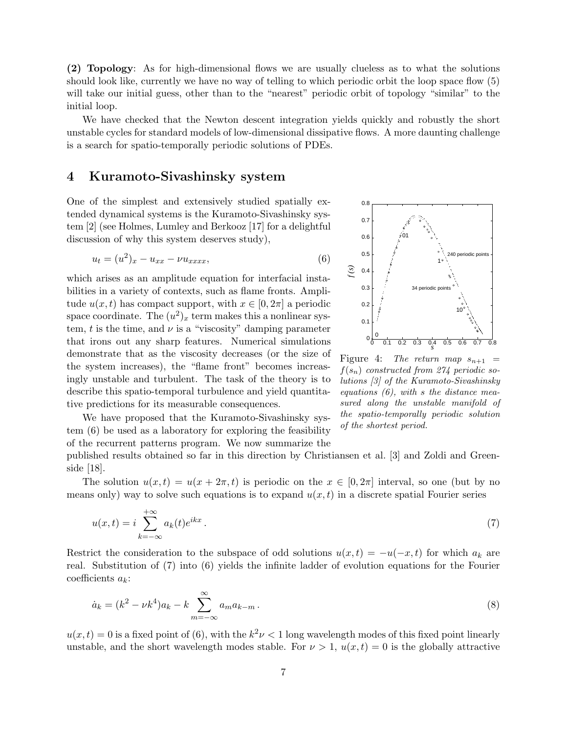(2) Topology: As for high-dimensional flows we are usually clueless as to what the solutions should look like, currently we have no way of telling to which periodic orbit the loop space flow (5) will take our initial guess, other than to the "nearest" periodic orbit of topology "similar" to the initial loop.

We have checked that the Newton descent integration yields quickly and robustly the short unstable cycles for standard models of low-dimensional dissipative flows. A more daunting challenge is a search for spatio-temporally periodic solutions of PDEs.

## 4 Kuramoto-Sivashinsky system

One of the simplest and extensively studied spatially extended dynamical systems is the Kuramoto-Sivashinsky system [2] (see Holmes, Lumley and Berkooz [17] for a delightful discussion of why this system deserves study),

$$
u_t = (u^2)_x - u_{xx} - \nu u_{xxxx}, \t\t(6)
$$

which arises as an amplitude equation for interfacial instabilities in a variety of contexts, such as flame fronts. Amplitude  $u(x, t)$  has compact support, with  $x \in [0, 2\pi]$  a periodic space coordinate. The  $(u^2)_x$  term makes this a nonlinear system, t is the time, and  $\nu$  is a "viscosity" damping parameter that irons out any sharp features. Numerical simulations demonstrate that as the viscosity decreases (or the size of the system increases), the "flame front" becomes increasingly unstable and turbulent. The task of the theory is to describe this spatio-temporal turbulence and yield quantitative predictions for its measurable consequences.

We have proposed that the Kuramoto-Sivashinsky system (6) be used as a laboratory for exploring the feasibility of the recurrent patterns program. We now summarize the



Figure 4: The return map  $s_{n+1}$  =  $f(s_n)$  constructed from 274 periodic solutions [3] of the Kuramoto-Sivashinsky equations  $(6)$ , with s the distance measured along the unstable manifold of the spatio-temporally periodic solution of the shortest period.

published results obtained so far in this direction by Christiansen et al. [3] and Zoldi and Greenside [18].

The solution  $u(x,t) = u(x + 2\pi, t)$  is periodic on the  $x \in [0, 2\pi]$  interval, so one (but by no means only) way to solve such equations is to expand  $u(x, t)$  in a discrete spatial Fourier series

$$
u(x,t) = i \sum_{k=-\infty}^{+\infty} a_k(t) e^{ikx} . \tag{7}
$$

Restrict the consideration to the subspace of odd solutions  $u(x,t) = -u(-x,t)$  for which  $a_k$  are real. Substitution of (7) into (6) yields the infinite ladder of evolution equations for the Fourier coefficients  $a_k$ :

$$
\dot{a}_k = (k^2 - \nu k^4) a_k - k \sum_{m = -\infty}^{\infty} a_m a_{k-m} \,. \tag{8}
$$

 $u(x,t) = 0$  is a fixed point of (6), with the  $k^2 \nu < 1$  long wavelength modes of this fixed point linearly unstable, and the short wavelength modes stable. For  $\nu > 1$ ,  $u(x, t) = 0$  is the globally attractive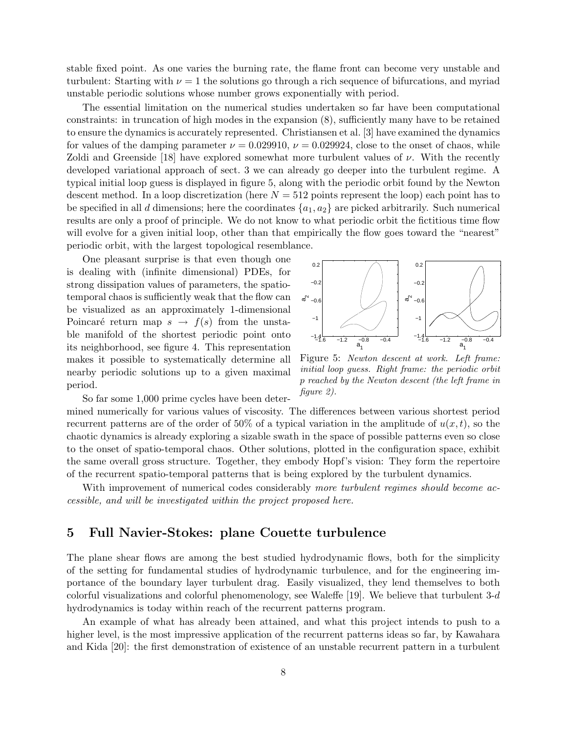stable fixed point. As one varies the burning rate, the flame front can become very unstable and turbulent: Starting with  $\nu = 1$  the solutions go through a rich sequence of bifurcations, and myriad unstable periodic solutions whose number grows exponentially with period.

The essential limitation on the numerical studies undertaken so far have been computational constraints: in truncation of high modes in the expansion (8), sufficiently many have to be retained to ensure the dynamics is accurately represented. Christiansen et al. [3] have examined the dynamics for values of the damping parameter  $\nu = 0.029910$ ,  $\nu = 0.029924$ , close to the onset of chaos, while Zoldi and Greenside [18] have explored somewhat more turbulent values of  $\nu$ . With the recently developed variational approach of sect. 3 we can already go deeper into the turbulent regime. A typical initial loop guess is displayed in figure 5, along with the periodic orbit found by the Newton descent method. In a loop discretization (here  $N = 512$  points represent the loop) each point has to be specified in all d dimensions; here the coordinates  $\{a_1, a_2\}$  are picked arbitrarily. Such numerical results are only a proof of principle. We do not know to what periodic orbit the fictitious time flow will evolve for a given initial loop, other than that empirically the flow goes toward the "nearest" periodic orbit, with the largest topological resemblance.

One pleasant surprise is that even though one is dealing with (infinite dimensional) PDEs, for strong dissipation values of parameters, the spatiotemporal chaos is sufficiently weak that the flow can be visualized as an approximately 1-dimensional Poincaré return map  $s \to f(s)$  from the unstable manifold of the shortest periodic point onto its neighborhood, see figure 4. This representation makes it possible to systematically determine all nearby periodic solutions up to a given maximal period.



Figure 5: Newton descent at work. Left frame: initial loop guess. Right frame: the periodic orbit p reached by the Newton descent (the left frame in figure 2).

So far some 1,000 prime cycles have been deter-

mined numerically for various values of viscosity. The differences between various shortest period recurrent patterns are of the order of 50% of a typical variation in the amplitude of  $u(x, t)$ , so the chaotic dynamics is already exploring a sizable swath in the space of possible patterns even so close to the onset of spatio-temporal chaos. Other solutions, plotted in the configuration space, exhibit the same overall gross structure. Together, they embody Hopf's vision: They form the repertoire of the recurrent spatio-temporal patterns that is being explored by the turbulent dynamics.

With improvement of numerical codes considerably more turbulent regimes should become accessible, and will be investigated within the project proposed here.

## 5 Full Navier-Stokes: plane Couette turbulence

The plane shear flows are among the best studied hydrodynamic flows, both for the simplicity of the setting for fundamental studies of hydrodynamic turbulence, and for the engineering importance of the boundary layer turbulent drag. Easily visualized, they lend themselves to both colorful visualizations and colorful phenomenology, see Waleffe [19]. We believe that turbulent  $3-d$ hydrodynamics is today within reach of the recurrent patterns program.

An example of what has already been attained, and what this project intends to push to a higher level, is the most impressive application of the recurrent patterns ideas so far, by Kawahara and Kida [20]: the first demonstration of existence of an unstable recurrent pattern in a turbulent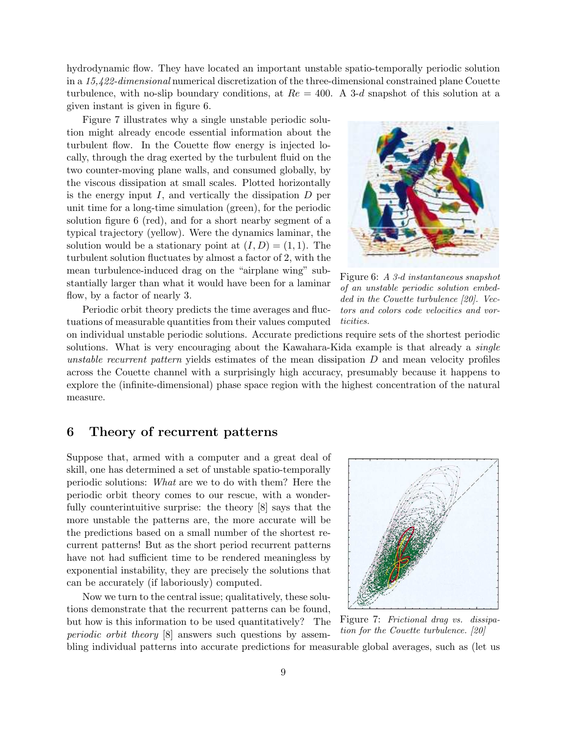hydrodynamic flow. They have located an important unstable spatio-temporally periodic solution in a 15,422-dimensional numerical discretization of the three-dimensional constrained plane Couette turbulence, with no-slip boundary conditions, at  $Re = 400$ . A 3-d snapshot of this solution at a given instant is given in figure 6.

Figure 7 illustrates why a single unstable periodic solution might already encode essential information about the turbulent flow. In the Couette flow energy is injected locally, through the drag exerted by the turbulent fluid on the two counter-moving plane walls, and consumed globally, by the viscous dissipation at small scales. Plotted horizontally is the energy input  $I$ , and vertically the dissipation  $D$  per unit time for a long-time simulation (green), for the periodic solution figure 6 (red), and for a short nearby segment of a typical trajectory (yellow). Were the dynamics laminar, the solution would be a stationary point at  $(I, D) = (1, 1)$ . The turbulent solution fluctuates by almost a factor of 2, with the mean turbulence-induced drag on the "airplane wing" substantially larger than what it would have been for a laminar flow, by a factor of nearly 3.

Periodic orbit theory predicts the time averages and fluctuations of measurable quantities from their values computed



Figure 6: A 3-d instantaneous snapshot of an unstable periodic solution embedded in the Couette turbulence [20]. Vectors and colors code velocities and vorticities.

on individual unstable periodic solutions. Accurate predictions require sets of the shortest periodic solutions. What is very encouraging about the Kawahara-Kida example is that already a *single* unstable recurrent pattern yields estimates of the mean dissipation  $D$  and mean velocity profiles across the Couette channel with a surprisingly high accuracy, presumably because it happens to explore the (infinite-dimensional) phase space region with the highest concentration of the natural measure.

## 6 Theory of recurrent patterns

Suppose that, armed with a computer and a great deal of skill, one has determined a set of unstable spatio-temporally periodic solutions: What are we to do with them? Here the periodic orbit theory comes to our rescue, with a wonderfully counterintuitive surprise: the theory [8] says that the more unstable the patterns are, the more accurate will be the predictions based on a small number of the shortest recurrent patterns! But as the short period recurrent patterns have not had sufficient time to be rendered meaningless by exponential instability, they are precisely the solutions that can be accurately (if laboriously) computed.

Now we turn to the central issue; qualitatively, these solutions demonstrate that the recurrent patterns can be found, but how is this information to be used quantitatively? The periodic orbit theory [8] answers such questions by assem-



Figure 7: Frictional drag vs. dissipation for the Couette turbulence. [20]

bling individual patterns into accurate predictions for measurable global averages, such as (let us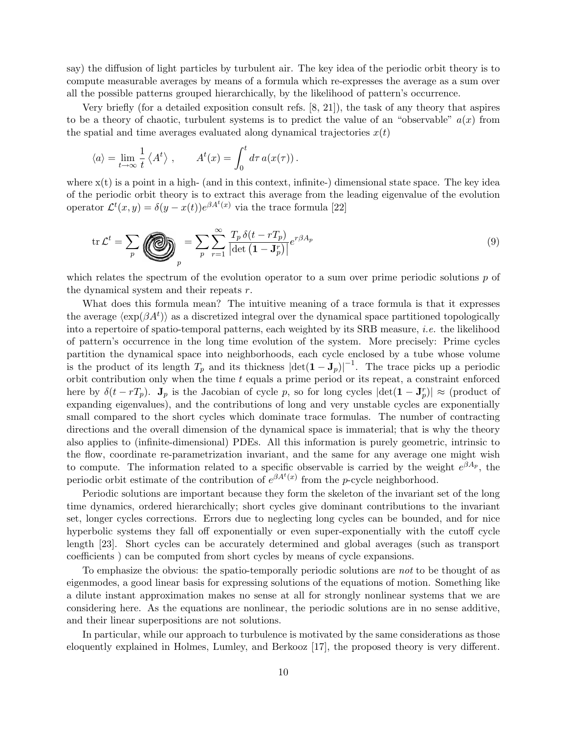say) the diffusion of light particles by turbulent air. The key idea of the periodic orbit theory is to compute measurable averages by means of a formula which re-expresses the average as a sum over all the possible patterns grouped hierarchically, by the likelihood of pattern's occurrence.

Very briefly (for a detailed exposition consult refs. [8, 21]), the task of any theory that aspires to be a theory of chaotic, turbulent systems is to predict the value of an "observable"  $a(x)$  from the spatial and time averages evaluated along dynamical trajectories  $x(t)$ 

$$
\langle a \rangle = \lim_{t \to \infty} \frac{1}{t} \langle A^t \rangle , \qquad A^t(x) = \int_0^t d\tau \, a(x(\tau)) .
$$

where  $x(t)$  is a point in a high- (and in this context, infinite-) dimensional state space. The key idea of the periodic orbit theory is to extract this average from the leading eigenvalue of the evolution operator  $\mathcal{L}^t(x, y) = \delta(y - x(t))e^{\beta A^t(x)}$  via the trace formula [22]

$$
\operatorname{tr}\mathcal{L}^t = \sum_p \left( \bigotimes_p \right) = \sum_p \sum_{r=1}^{\infty} \frac{T_p \,\delta(t - rT_p)}{|\det(\mathbf{1} - \mathbf{J}_p^r)|} e^{r\beta A_p} \tag{9}
$$

which relates the spectrum of the evolution operator to a sum over prime periodic solutions  $p$  of the dynamical system and their repeats r.

What does this formula mean? The intuitive meaning of a trace formula is that it expresses the average  $\langle \exp(\beta A^t) \rangle$  as a discretized integral over the dynamical space partitioned topologically into a repertoire of spatio-temporal patterns, each weighted by its SRB measure, i.e. the likelihood of pattern's occurrence in the long time evolution of the system. More precisely: Prime cycles partition the dynamical space into neighborhoods, each cycle enclosed by a tube whose volume is the product of its length  $T_p$  and its thickness  $|\det(\mathbf{1} - \mathbf{J}_p)|^{-1}$ . The trace picks up a periodic orbit contribution only when the time  $t$  equals a prime period or its repeat, a constraint enforced here by  $\delta(t-rT_p)$ .  $\mathbf{J}_p$  is the Jacobian of cycle p, so for long cycles  $|\text{det}(\mathbf{1}-\mathbf{J}_p^r)| \approx$  (product of expanding eigenvalues), and the contributions of long and very unstable cycles are exponentially small compared to the short cycles which dominate trace formulas. The number of contracting directions and the overall dimension of the dynamical space is immaterial; that is why the theory also applies to (infinite-dimensional) PDEs. All this information is purely geometric, intrinsic to the flow, coordinate re-parametrization invariant, and the same for any average one might wish to compute. The information related to a specific observable is carried by the weight  $e^{\beta A_p}$ , the periodic orbit estimate of the contribution of  $e^{\beta A^t(x)}$  from the p-cycle neighborhood.

Periodic solutions are important because they form the skeleton of the invariant set of the long time dynamics, ordered hierarchically; short cycles give dominant contributions to the invariant set, longer cycles corrections. Errors due to neglecting long cycles can be bounded, and for nice hyperbolic systems they fall off exponentially or even super-exponentially with the cutoff cycle length [23]. Short cycles can be accurately determined and global averages (such as transport coefficients ) can be computed from short cycles by means of cycle expansions.

To emphasize the obvious: the spatio-temporally periodic solutions are not to be thought of as eigenmodes, a good linear basis for expressing solutions of the equations of motion. Something like a dilute instant approximation makes no sense at all for strongly nonlinear systems that we are considering here. As the equations are nonlinear, the periodic solutions are in no sense additive, and their linear superpositions are not solutions.

In particular, while our approach to turbulence is motivated by the same considerations as those eloquently explained in Holmes, Lumley, and Berkooz [17], the proposed theory is very different.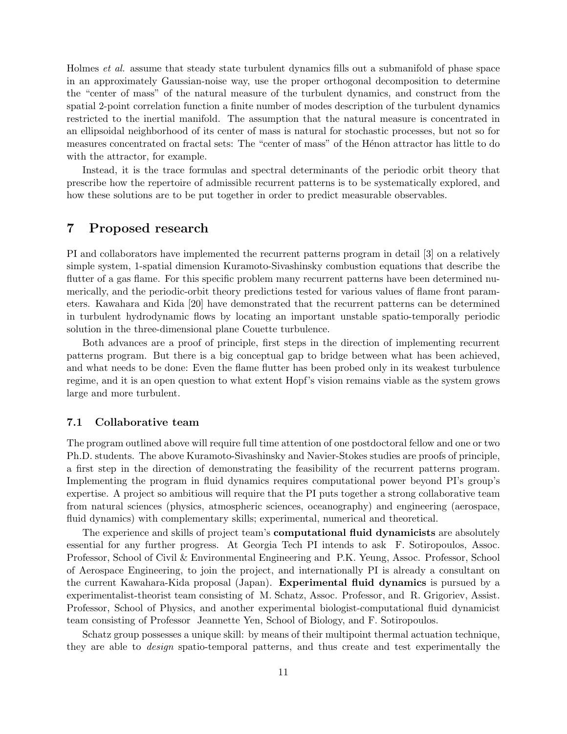Holmes et al. assume that steady state turbulent dynamics fills out a submanifold of phase space in an approximately Gaussian-noise way, use the proper orthogonal decomposition to determine the "center of mass" of the natural measure of the turbulent dynamics, and construct from the spatial 2-point correlation function a finite number of modes description of the turbulent dynamics restricted to the inertial manifold. The assumption that the natural measure is concentrated in an ellipsoidal neighborhood of its center of mass is natural for stochastic processes, but not so for measures concentrated on fractal sets: The "center of mass" of the Hénon attractor has little to do with the attractor, for example.

Instead, it is the trace formulas and spectral determinants of the periodic orbit theory that prescribe how the repertoire of admissible recurrent patterns is to be systematically explored, and how these solutions are to be put together in order to predict measurable observables.

## 7 Proposed research

PI and collaborators have implemented the recurrent patterns program in detail [3] on a relatively simple system, 1-spatial dimension Kuramoto-Sivashinsky combustion equations that describe the flutter of a gas flame. For this specific problem many recurrent patterns have been determined numerically, and the periodic-orbit theory predictions tested for various values of flame front parameters. Kawahara and Kida [20] have demonstrated that the recurrent patterns can be determined in turbulent hydrodynamic flows by locating an important unstable spatio-temporally periodic solution in the three-dimensional plane Couette turbulence.

Both advances are a proof of principle, first steps in the direction of implementing recurrent patterns program. But there is a big conceptual gap to bridge between what has been achieved, and what needs to be done: Even the flame flutter has been probed only in its weakest turbulence regime, and it is an open question to what extent Hopf's vision remains viable as the system grows large and more turbulent.

#### 7.1 Collaborative team

The program outlined above will require full time attention of one postdoctoral fellow and one or two Ph.D. students. The above Kuramoto-Sivashinsky and Navier-Stokes studies are proofs of principle, a first step in the direction of demonstrating the feasibility of the recurrent patterns program. Implementing the program in fluid dynamics requires computational power beyond PI's group's expertise. A project so ambitious will require that the PI puts together a strong collaborative team from natural sciences (physics, atmospheric sciences, oceanography) and engineering (aerospace, fluid dynamics) with complementary skills; experimental, numerical and theoretical.

The experience and skills of project team's **computational fluid dynamicists** are absolutely essential for any further progress. At Georgia Tech PI intends to ask F. Sotiropoulos, Assoc. Professor, School of Civil & Environmental Engineering and P.K. Yeung, Assoc. Professor, School of Aerospace Engineering, to join the project, and internationally PI is already a consultant on the current Kawahara-Kida proposal (Japan). Experimental fluid dynamics is pursued by a experimentalist-theorist team consisting of M. Schatz, Assoc. Professor, and R. Grigoriev, Assist. Professor, School of Physics, and another experimental biologist-computational fluid dynamicist team consisting of Professor Jeannette Yen, School of Biology, and F. Sotiropoulos.

Schatz group possesses a unique skill: by means of their multipoint thermal actuation technique, they are able to design spatio-temporal patterns, and thus create and test experimentally the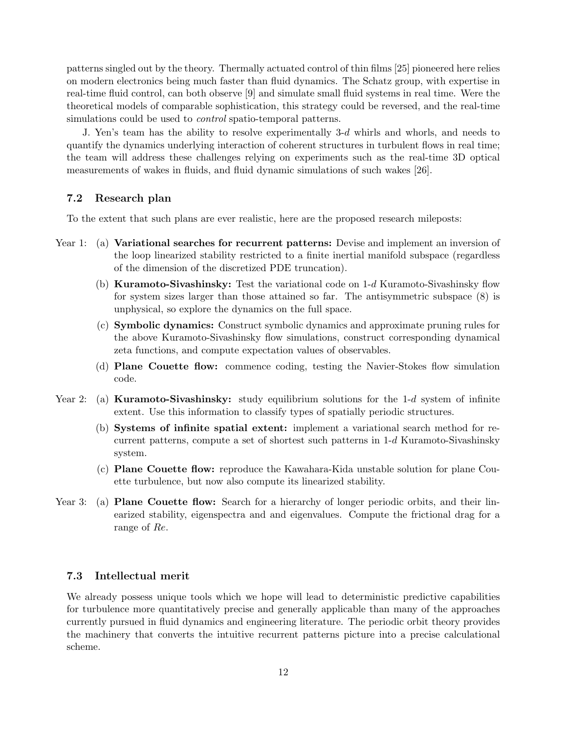patterns singled out by the theory. Thermally actuated control of thin films [25] pioneered here relies on modern electronics being much faster than fluid dynamics. The Schatz group, with expertise in real-time fluid control, can both observe [9] and simulate small fluid systems in real time. Were the theoretical models of comparable sophistication, this strategy could be reversed, and the real-time simulations could be used to *control* spatio-temporal patterns.

J. Yen's team has the ability to resolve experimentally 3-d whirls and whorls, and needs to quantify the dynamics underlying interaction of coherent structures in turbulent flows in real time; the team will address these challenges relying on experiments such as the real-time 3D optical measurements of wakes in fluids, and fluid dynamic simulations of such wakes [26].

#### 7.2 Research plan

To the extent that such plans are ever realistic, here are the proposed research mileposts:

- Year 1: (a) Variational searches for recurrent patterns: Devise and implement an inversion of the loop linearized stability restricted to a finite inertial manifold subspace (regardless of the dimension of the discretized PDE truncation).
	- (b) Kuramoto-Sivashinsky: Test the variational code on 1-d Kuramoto-Sivashinsky flow for system sizes larger than those attained so far. The antisymmetric subspace (8) is unphysical, so explore the dynamics on the full space.
	- (c) Symbolic dynamics: Construct symbolic dynamics and approximate pruning rules for the above Kuramoto-Sivashinsky flow simulations, construct corresponding dynamical zeta functions, and compute expectation values of observables.
	- (d) Plane Couette flow: commence coding, testing the Navier-Stokes flow simulation code.
- Year 2: (a) **Kuramoto-Sivashinsky:** study equilibrium solutions for the  $1-d$  system of infinite extent. Use this information to classify types of spatially periodic structures.
	- (b) Systems of infinite spatial extent: implement a variational search method for recurrent patterns, compute a set of shortest such patterns in  $1-d$  Kuramoto-Sivashinsky system.
	- (c) Plane Couette flow: reproduce the Kawahara-Kida unstable solution for plane Couette turbulence, but now also compute its linearized stability.
- Year 3: (a) **Plane Couette flow:** Search for a hierarchy of longer periodic orbits, and their linearized stability, eigenspectra and and eigenvalues. Compute the frictional drag for a range of Re.

#### 7.3 Intellectual merit

We already possess unique tools which we hope will lead to deterministic predictive capabilities for turbulence more quantitatively precise and generally applicable than many of the approaches currently pursued in fluid dynamics and engineering literature. The periodic orbit theory provides the machinery that converts the intuitive recurrent patterns picture into a precise calculational scheme.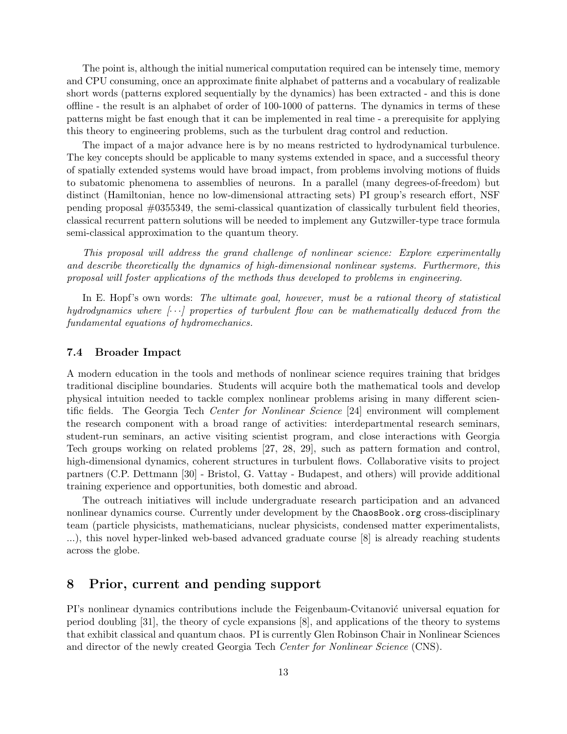The point is, although the initial numerical computation required can be intensely time, memory and CPU consuming, once an approximate finite alphabet of patterns and a vocabulary of realizable short words (patterns explored sequentially by the dynamics) has been extracted - and this is done offline - the result is an alphabet of order of 100-1000 of patterns. The dynamics in terms of these patterns might be fast enough that it can be implemented in real time - a prerequisite for applying this theory to engineering problems, such as the turbulent drag control and reduction.

The impact of a major advance here is by no means restricted to hydrodynamical turbulence. The key concepts should be applicable to many systems extended in space, and a successful theory of spatially extended systems would have broad impact, from problems involving motions of fluids to subatomic phenomena to assemblies of neurons. In a parallel (many degrees-of-freedom) but distinct (Hamiltonian, hence no low-dimensional attracting sets) PI group's research effort, NSF pending proposal #0355349, the semi-classical quantization of classically turbulent field theories, classical recurrent pattern solutions will be needed to implement any Gutzwiller-type trace formula semi-classical approximation to the quantum theory.

This proposal will address the grand challenge of nonlinear science: Explore experimentally and describe theoretically the dynamics of high-dimensional nonlinear systems. Furthermore, this proposal will foster applications of the methods thus developed to problems in engineering.

In E. Hopf's own words: The ultimate goal, however, must be a rational theory of statistical hydrodynamics where  $\langle \cdot \cdot \cdot \rangle$  properties of turbulent flow can be mathematically deduced from the fundamental equations of hydromechanics.

#### 7.4 Broader Impact

A modern education in the tools and methods of nonlinear science requires training that bridges traditional discipline boundaries. Students will acquire both the mathematical tools and develop physical intuition needed to tackle complex nonlinear problems arising in many different scientific fields. The Georgia Tech Center for Nonlinear Science [24] environment will complement the research component with a broad range of activities: interdepartmental research seminars, student-run seminars, an active visiting scientist program, and close interactions with Georgia Tech groups working on related problems [27, 28, 29], such as pattern formation and control, high-dimensional dynamics, coherent structures in turbulent flows. Collaborative visits to project partners (C.P. Dettmann [30] - Bristol, G. Vattay - Budapest, and others) will provide additional training experience and opportunities, both domestic and abroad.

The outreach initiatives will include undergraduate research participation and an advanced nonlinear dynamics course. Currently under development by the ChaosBook.org cross-disciplinary team (particle physicists, mathematicians, nuclear physicists, condensed matter experimentalists, ...), this novel hyper-linked web-based advanced graduate course [8] is already reaching students across the globe.

#### 8 Prior, current and pending support

PI's nonlinear dynamics contributions include the Feigenbaum-Cyitanovic universal equation for period doubling [31], the theory of cycle expansions [8], and applications of the theory to systems that exhibit classical and quantum chaos. PI is currently Glen Robinson Chair in Nonlinear Sciences and director of the newly created Georgia Tech Center for Nonlinear Science (CNS).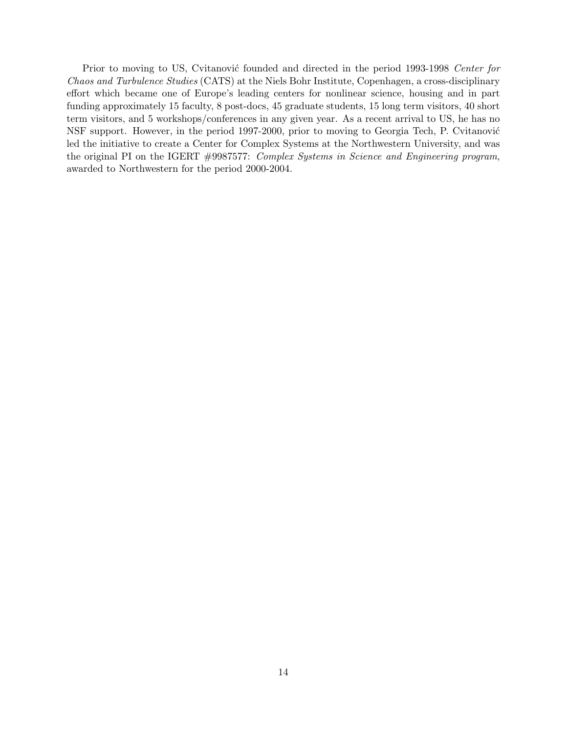Prior to moving to US, Cvitanović founded and directed in the period 1993-1998 Center for Chaos and Turbulence Studies (CATS) at the Niels Bohr Institute, Copenhagen, a cross-disciplinary effort which became one of Europe's leading centers for nonlinear science, housing and in part funding approximately 15 faculty, 8 post-docs, 45 graduate students, 15 long term visitors, 40 short term visitors, and 5 workshops/conferences in any given year. As a recent arrival to US, he has no NSF support. However, in the period 1997-2000, prior to moving to Georgia Tech, P. Cvitanović led the initiative to create a Center for Complex Systems at the Northwestern University, and was the original PI on the IGERT #9987577: Complex Systems in Science and Engineering program, awarded to Northwestern for the period 2000-2004.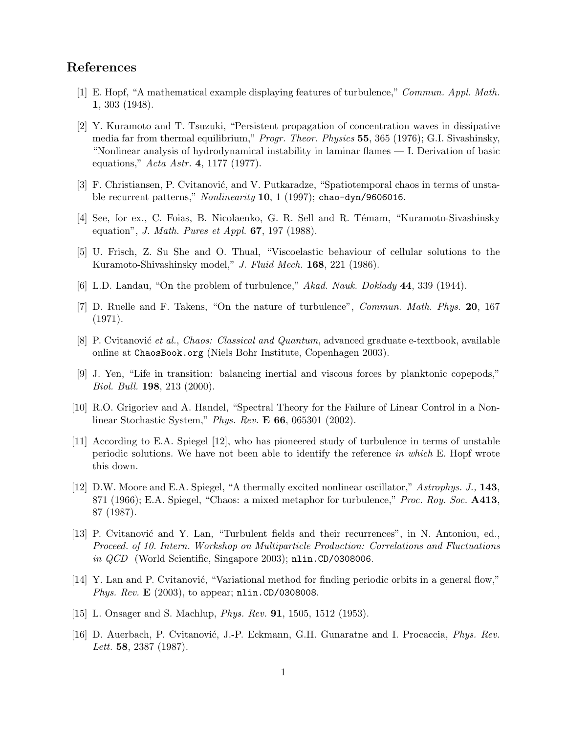## References

- [1] E. Hopf, "A mathematical example displaying features of turbulence," Commun. Appl. Math. 1, 303 (1948).
- [2] Y. Kuramoto and T. Tsuzuki, "Persistent propagation of concentration waves in dissipative media far from thermal equilibrium," Progr. Theor. Physics 55, 365 (1976); G.I. Sivashinsky, "Nonlinear analysis of hydrodynamical instability in laminar flames — I. Derivation of basic equations," Acta Astr. 4, 1177 (1977).
- [3] F. Christiansen, P. Cvitanović, and V. Putkaradze, "Spatiotemporal chaos in terms of unstable recurrent patterns," *Nonlinearity* **10**, 1 (1997); chao-dyn/9606016.
- [4] See, for ex., C. Foias, B. Nicolaenko, G. R. Sell and R. Témam, "Kuramoto-Sivashinsky equation", J. Math. Pures et Appl.  $67$ , 197 (1988).
- [5] U. Frisch, Z. Su She and O. Thual, "Viscoelastic behaviour of cellular solutions to the Kuramoto-Shivashinsky model," J. Fluid Mech. 168, 221 (1986).
- [6] L.D. Landau, "On the problem of turbulence," Akad. Nauk. Doklady 44, 339 (1944).
- [7] D. Ruelle and F. Takens, "On the nature of turbulence", Commun. Math. Phys. 20, 167 (1971).
- [8] P. Cvitanović et al., Chaos: Classical and Quantum, advanced graduate e-textbook, available online at ChaosBook.org (Niels Bohr Institute, Copenhagen 2003).
- [9] J. Yen, "Life in transition: balancing inertial and viscous forces by planktonic copepods," Biol. Bull. 198, 213 (2000).
- [10] R.O. Grigoriev and A. Handel, "Spectral Theory for the Failure of Linear Control in a Nonlinear Stochastic System," Phys. Rev. E 66, 065301 (2002).
- [11] According to E.A. Spiegel [12], who has pioneered study of turbulence in terms of unstable periodic solutions. We have not been able to identify the reference in which E. Hopf wrote this down.
- [12] D.W. Moore and E.A. Spiegel, "A thermally excited nonlinear oscillator," Astrophys. J., 143, 871 (1966); E.A. Spiegel, "Chaos: a mixed metaphor for turbulence," *Proc. Roy. Soc.* **A413**, 87 (1987).
- [13] P. Cvitanović and Y. Lan, "Turbulent fields and their recurrences", in N. Antoniou, ed., Proceed. of 10. Intern. Workshop on Multiparticle Production: Correlations and Fluctuations in *QCD* (World Scientific, Singapore 2003); nlin.CD/0308006.
- [14] Y. Lan and P. Cvitanović, "Variational method for finding periodic orbits in a general flow," Phys. Rev.  $\mathbf{E}$  (2003), to appear; nlin.CD/0308008.
- [15] L. Onsager and S. Machlup, Phys. Rev. 91, 1505, 1512 (1953).
- [16] D. Auerbach, P. Cvitanović, J.-P. Eckmann, G.H. Gunaratne and I. Procaccia, *Phys. Rev.* Lett. **58**, 2387 (1987).